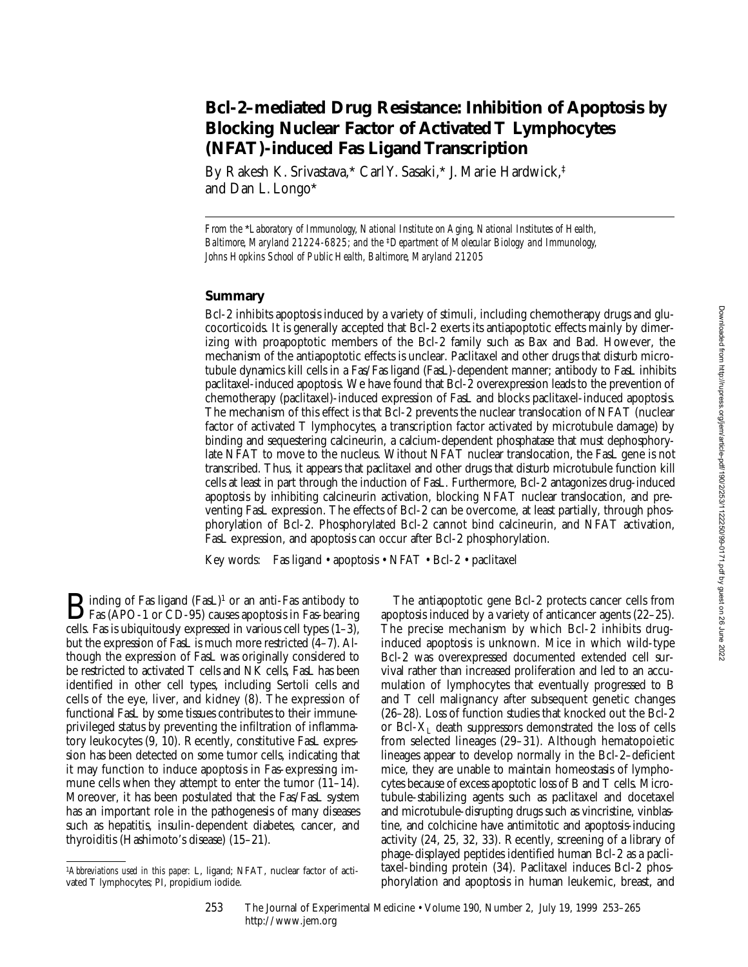# **Bcl-2–mediated Drug Resistance: Inhibition of Apoptosis by Blocking Nuclear Factor of Activated T Lymphocytes (NFAT)-induced Fas Ligand Transcription**

By Rakesh K. Srivastava,\* Carl Y. Sasaki,\* J. Marie Hardwick,‡ and Dan L. Longo\*

*From the* \**Laboratory of Immunology, National Institute on Aging, National Institutes of Health, Baltimore, Maryland 21224-6825; and the* ‡*Department of Molecular Biology and Immunology, Johns Hopkins School of Public Health, Baltimore, Maryland 21205*

## **Summary**

Bcl-2 inhibits apoptosis induced by a variety of stimuli, including chemotherapy drugs and glucocorticoids. It is generally accepted that Bcl-2 exerts its antiapoptotic effects mainly by dimerizing with proapoptotic members of the Bcl-2 family such as Bax and Bad. However, the mechanism of the antiapoptotic effects is unclear. Paclitaxel and other drugs that disturb microtubule dynamics kill cells in a Fas/Fas ligand (FasL)-dependent manner; antibody to FasL inhibits paclitaxel-induced apoptosis. We have found that Bcl-2 overexpression leads to the prevention of chemotherapy (paclitaxel)-induced expression of FasL and blocks paclitaxel-induced apoptosis. The mechanism of this effect is that Bcl-2 prevents the nuclear translocation of NFAT (nuclear factor of activated T lymphocytes, a transcription factor activated by microtubule damage) by binding and sequestering calcineurin, a calcium-dependent phosphatase that must dephosphorylate NFAT to move to the nucleus. Without NFAT nuclear translocation, the FasL gene is not transcribed. Thus, it appears that paclitaxel and other drugs that disturb microtubule function kill cells at least in part through the induction of FasL. Furthermore, Bcl-2 antagonizes drug-induced apoptosis by inhibiting calcineurin activation, blocking NFAT nuclear translocation, and preventing FasL expression. The effects of Bcl-2 can be overcome, at least partially, through phosphorylation of Bcl-2. Phosphorylated Bcl-2 cannot bind calcineurin, and NFAT activation, FasL expression, and apoptosis can occur after Bcl-2 phosphorylation.

Key words: Fas ligand • apoptosis • NFAT • Bcl-2 • paclitaxel

 $\mathbf{B}$  inding of Fas ligand (FasL)<sup>1</sup> or an anti-Fas antibody to Fas (APO-1 or CD-95) causes apoptosis in Fas-bearing cells. Fas is ubiquitously expressed in various cell types (1–3), but the expression of FasL is much more restricted (4–7). Although the expression of FasL was originally considered to be restricted to activated T cells and NK cells, FasL has been identified in other cell types, including Sertoli cells and cells of the eye, liver, and kidney (8). The expression of functional FasL by some tissues contributes to their immuneprivileged status by preventing the infiltration of inflammatory leukocytes (9, 10). Recently, constitutive FasL expression has been detected on some tumor cells, indicating that it may function to induce apoptosis in Fas-expressing immune cells when they attempt to enter the tumor  $(11-14)$ . Moreover, it has been postulated that the Fas/FasL system has an important role in the pathogenesis of many diseases such as hepatitis, insulin-dependent diabetes, cancer, and thyroiditis (Hashimoto's disease) (15–21).

The antiapoptotic gene Bcl-2 protects cancer cells from apoptosis induced by a variety of anticancer agents (22–25). The precise mechanism by which Bcl-2 inhibits druginduced apoptosis is unknown. Mice in which wild-type Bcl-2 was overexpressed documented extended cell survival rather than increased proliferation and led to an accumulation of lymphocytes that eventually progressed to B and T cell malignancy after subsequent genetic changes (26–28). Loss of function studies that knocked out the Bcl-2 or Bcl- $X_{I}$  death suppressors demonstrated the loss of cells from selected lineages (29–31). Although hematopoietic lineages appear to develop normally in the Bcl-2–deficient mice, they are unable to maintain homeostasis of lymphocytes because of excess apoptotic loss of B and T cells. Microtubule-stabilizing agents such as paclitaxel and docetaxel and microtubule-disrupting drugs such as vincristine, vinblastine, and colchicine have antimitotic and apoptosis-inducing activity (24, 25, 32, 33). Recently, screening of a library of phage-displayed peptides identified human Bcl-2 as a paclitaxel-binding protein (34). Paclitaxel induces Bcl-2 phosphorylation and apoptosis in human leukemic, breast, and

<sup>1</sup>*Abbreviations used in this paper:* L, ligand; NFAT, nuclear factor of activated T lymphocytes; PI, propidium iodide.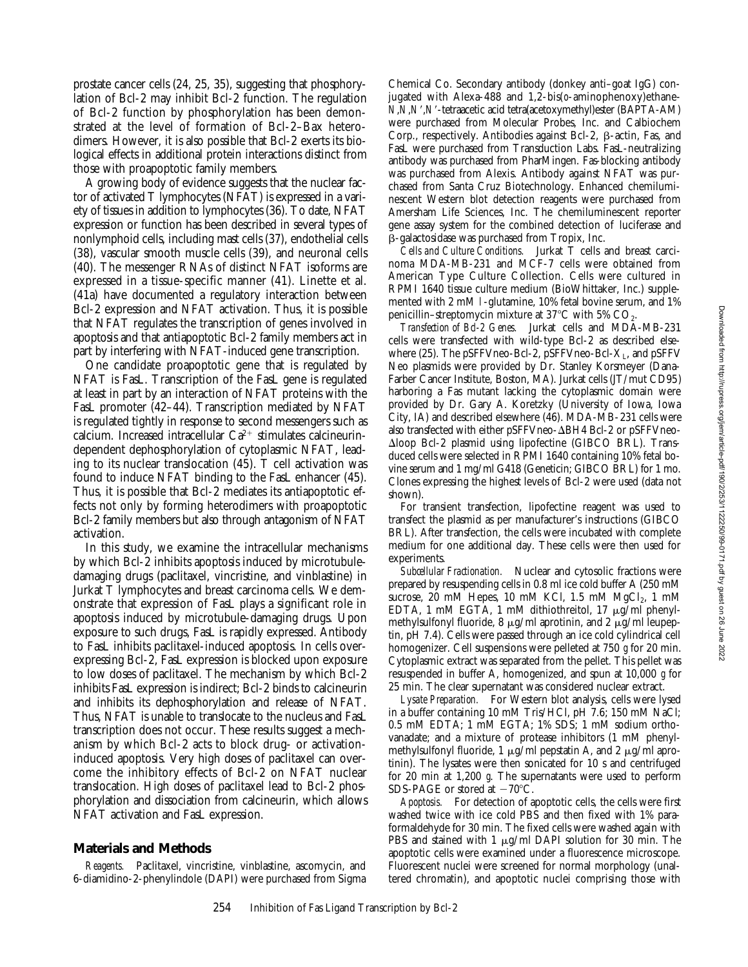prostate cancer cells (24, 25, 35), suggesting that phosphorylation of Bcl-2 may inhibit Bcl-2 function. The regulation of Bcl-2 function by phosphorylation has been demonstrated at the level of formation of Bcl-2–Bax heterodimers. However, it is also possible that Bcl-2 exerts its biological effects in additional protein interactions distinct from those with proapoptotic family members.

A growing body of evidence suggests that the nuclear factor of activated T lymphocytes (NFAT) is expressed in a variety of tissues in addition to lymphocytes (36). To date, NFAT expression or function has been described in several types of nonlymphoid cells, including mast cells (37), endothelial cells (38), vascular smooth muscle cells (39), and neuronal cells (40). The messenger RNAs of distinct NFAT isoforms are expressed in a tissue-specific manner (41). Linette et al. (41a) have documented a regulatory interaction between Bcl-2 expression and NFAT activation. Thus, it is possible that NFAT regulates the transcription of genes involved in apoptosis and that antiapoptotic Bcl-2 family members act in part by interfering with NFAT-induced gene transcription.

One candidate proapoptotic gene that is regulated by NFAT is FasL. Transcription of the FasL gene is regulated at least in part by an interaction of NFAT proteins with the FasL promoter (42–44). Transcription mediated by NFAT is regulated tightly in response to second messengers such as calcium. Increased intracellular  $Ca^{2+}$  stimulates calcineurindependent dephosphorylation of cytoplasmic NFAT, leading to its nuclear translocation (45). T cell activation was found to induce NFAT binding to the FasL enhancer (45). Thus, it is possible that Bcl-2 mediates its antiapoptotic effects not only by forming heterodimers with proapoptotic Bcl-2 family members but also through antagonism of NFAT activation.

In this study, we examine the intracellular mechanisms by which Bcl-2 inhibits apoptosis induced by microtubuledamaging drugs (paclitaxel, vincristine, and vinblastine) in Jurkat T lymphocytes and breast carcinoma cells. We demonstrate that expression of FasL plays a significant role in apoptosis induced by microtubule-damaging drugs. Upon exposure to such drugs, FasL is rapidly expressed. Antibody to FasL inhibits paclitaxel-induced apoptosis. In cells overexpressing Bcl-2, FasL expression is blocked upon exposure to low doses of paclitaxel. The mechanism by which Bcl-2 inhibits FasL expression is indirect; Bcl-2 binds to calcineurin and inhibits its dephosphorylation and release of NFAT. Thus, NFAT is unable to translocate to the nucleus and FasL transcription does not occur. These results suggest a mechanism by which Bcl-2 acts to block drug- or activationinduced apoptosis. Very high doses of paclitaxel can overcome the inhibitory effects of Bcl-2 on NFAT nuclear translocation. High doses of paclitaxel lead to Bcl-2 phosphorylation and dissociation from calcineurin, which allows NFAT activation and FasL expression.

#### **Materials and Methods**

*Reagents.* Paclitaxel, vincristine, vinblastine, ascomycin, and 6-diamidino-2-phenylindole (DAPI) were purchased from Sigma

Chemical Co. Secondary antibody (donkey anti–goat IgG) conjugated with Alexa-488 and 1,2-bis(*o*-aminophenoxy)ethane-*N*,*N*,*N*9,*N*9-tetraacetic acid tetra(acetoxymethyl)ester (BAPTA-AM) were purchased from Molecular Probes, Inc. and Calbiochem Corp., respectively. Antibodies against Bcl-2,  $\beta$ -actin, Fas, and FasL were purchased from Transduction Labs. FasL-neutralizing antibody was purchased from PharMingen. Fas-blocking antibody was purchased from Alexis. Antibody against NFAT was purchased from Santa Cruz Biotechnology. Enhanced chemiluminescent Western blot detection reagents were purchased from Amersham Life Sciences, Inc. The chemiluminescent reporter gene assay system for the combined detection of luciferase and b-galactosidase was purchased from Tropix, Inc.

*Cells and Culture Conditions.* Jurkat T cells and breast carcinoma MDA-MB-231 and MCF-7 cells were obtained from American Type Culture Collection. Cells were cultured in RPMI 1640 tissue culture medium (BioWhittaker, Inc.) supplemented with 2 mM l-glutamine, 10% fetal bovine serum, and 1% penicillin–streptomycin mixture at  $37^{\circ}$ C with 5% CO<sub>2</sub>.

*Transfection of Bcl-2 Genes.* Jurkat cells and MDA-MB-231 cells were transfected with wild-type Bcl-2 as described elsewhere (25). The pSFFVneo-Bcl-2, pSFFVneo-Bcl- $X_L$ , and pSFFV Neo plasmids were provided by Dr. Stanley Korsmeyer (Dana-Farber Cancer Institute, Boston, MA). Jurkat cells (JT/mut CD95) harboring a Fas mutant lacking the cytoplasmic domain were provided by Dr. Gary A. Koretzky (University of Iowa, Iowa City, IA) and described elsewhere (46). MDA-MB-231 cells were also transfected with either pSFFVneo- $\Delta$ BH4 Bcl-2 or pSFFVneo- $\Delta$ loop Bcl-2 plasmid using lipofectine (GIBCO BRL). Transduced cells were selected in RPMI 1640 containing 10% fetal bovine serum and 1 mg/ml G418 (Geneticin; GIBCO BRL) for 1 mo. Clones expressing the highest levels of Bcl-2 were used (data not shown).

For transient transfection, lipofectine reagent was used to transfect the plasmid as per manufacturer's instructions (GIBCO BRL). After transfection, the cells were incubated with complete medium for one additional day. These cells were then used for experiments.

*Subcellular Fractionation.* Nuclear and cytosolic fractions were prepared by resuspending cells in 0.8 ml ice cold buffer A (250 mM sucrose, 20 mM Hepes, 10 mM KCl, 1.5 mM  $MgCl<sub>2</sub>$ , 1 mM EDTA, 1 mM EGTA, 1 mM dithiothreitol, 17  $\mu$ g/ml phenylmethylsulfonyl fluoride, 8  $\mu$ g/ml aprotinin, and 2  $\mu$ g/ml leupeptin, pH 7.4). Cells were passed through an ice cold cylindrical cell homogenizer. Cell suspensions were pelleted at 750 *g* for 20 min. Cytoplasmic extract was separated from the pellet. This pellet was resuspended in buffer A, homogenized, and spun at 10,000 *g* for 25 min. The clear supernatant was considered nuclear extract.

*Lysate Preparation.* For Western blot analysis, cells were lysed in a buffer containing 10 mM Tris/HCl, pH 7.6; 150 mM NaCl; 0.5 mM EDTA; 1 mM EGTA; 1% SDS; 1 mM sodium orthovanadate; and a mixture of protease inhibitors (1 mM phenylmethylsulfonyl fluoride, 1  $\mu$ g/ml pepstatin A, and 2  $\mu$ g/ml aprotinin). The lysates were then sonicated for 10 s and centrifuged for 20 min at 1,200 *g*. The supernatants were used to perform SDS-PAGE or stored at  $-70^{\circ}$ C.

*Apoptosis.* For detection of apoptotic cells, the cells were first washed twice with ice cold PBS and then fixed with 1% paraformaldehyde for 30 min. The fixed cells were washed again with PBS and stained with 1  $\mu$ g/ml DAPI solution for 30 min. The apoptotic cells were examined under a fluorescence microscope. Fluorescent nuclei were screened for normal morphology (unaltered chromatin), and apoptotic nuclei comprising those with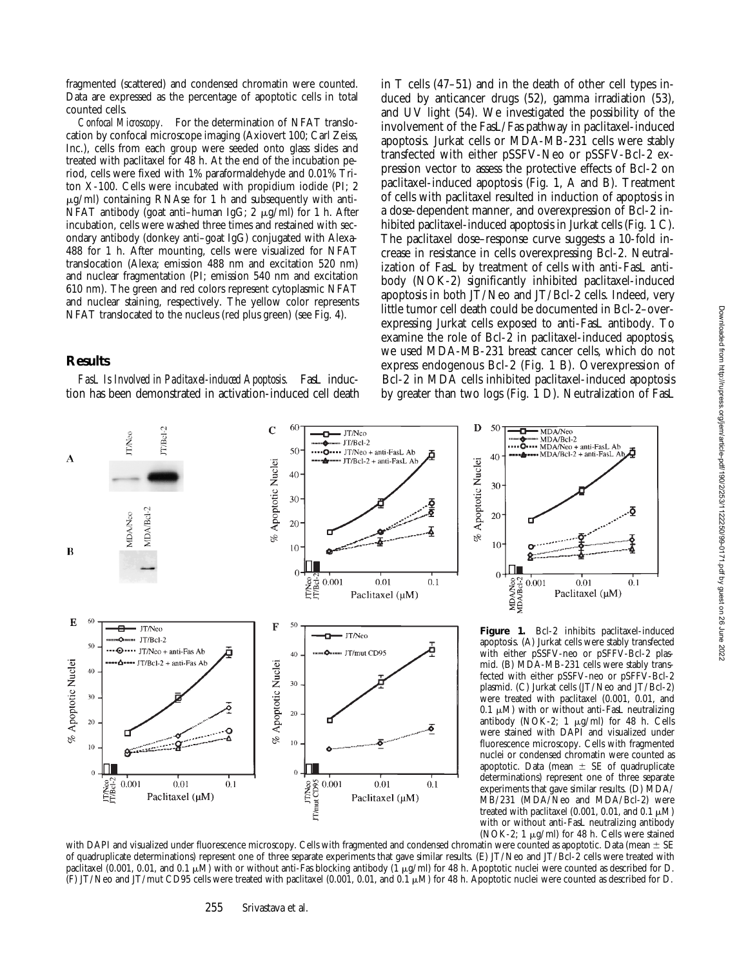fragmented (scattered) and condensed chromatin were counted. Data are expressed as the percentage of apoptotic cells in total counted cells.

*Confocal Microscopy.* For the determination of NFAT translocation by confocal microscope imaging (Axiovert 100; Carl Zeiss, Inc.), cells from each group were seeded onto glass slides and treated with paclitaxel for 48 h. At the end of the incubation period, cells were fixed with 1% paraformaldehyde and 0.01% Triton X-100. Cells were incubated with propidium iodide (PI; 2  $\mu$ g/ml) containing RNAse for 1 h and subsequently with anti-NFAT antibody (goat anti–human IgG; 2  $\mu$ g/ml) for 1 h. After incubation, cells were washed three times and restained with secondary antibody (donkey anti–goat IgG) conjugated with Alexa-488 for 1 h. After mounting, cells were visualized for NFAT translocation (Alexa; emission 488 nm and excitation 520 nm) and nuclear fragmentation (PI; emission 540 nm and excitation 610 nm). The green and red colors represent cytoplasmic NFAT and nuclear staining, respectively. The yellow color represents NFAT translocated to the nucleus (red plus green) (see Fig. 4).

## **Results**

*FasL Is Involved in Paclitaxel-induced Apoptosis.* FasL induction has been demonstrated in activation-induced cell death in T cells (47–51) and in the death of other cell types induced by anticancer drugs (52), gamma irradiation (53), and UV light (54). We investigated the possibility of the involvement of the FasL/Fas pathway in paclitaxel-induced apoptosis. Jurkat cells or MDA-MB-231 cells were stably transfected with either pSSFV-Neo or pSSFV-Bcl-2 expression vector to assess the protective effects of Bcl-2 on paclitaxel-induced apoptosis (Fig. 1, A and B). Treatment of cells with paclitaxel resulted in induction of apoptosis in a dose-dependent manner, and overexpression of Bcl-2 inhibited paclitaxel-induced apoptosis in Jurkat cells (Fig. 1 C). The paclitaxel dose–response curve suggests a 10-fold increase in resistance in cells overexpressing Bcl-2. Neutralization of FasL by treatment of cells with anti-FasL antibody (NOK-2) significantly inhibited paclitaxel-induced apoptosis in both JT/Neo and JT/Bcl-2 cells. Indeed, very little tumor cell death could be documented in Bcl-2–overexpressing Jurkat cells exposed to anti-FasL antibody. To examine the role of Bcl-2 in paclitaxel-induced apoptosis, we used MDA-MB-231 breast cancer cells, which do not express endogenous Bcl-2 (Fig. 1 B). Overexpression of Bcl-2 in MDA cells inhibited paclitaxel-induced apoptosis by greater than two logs (Fig. 1 D). Neutralization of FasL



MDA/Neo<br>MDA/Bcl-2 **Figure 1.** Bcl-2 inhibits paclitaxel-induced apoptosis. (A) Jurkat cells were stably transfected with either pSSFV-neo or pSFFV-Bcl-2 plasmid. (B) MDA-MB-231 cells were stably transfected with either pSSFV-neo or pSFFV-Bcl-2 plasmid. (C) Jurkat cells (JT/Neo and JT/Bcl-2) were treated with paclitaxel (0.001, 0.01, and 0.1  $\mu$ M) with or without anti-FasL neutralizing antibody (NOK-2; 1  $\mu$ g/ml) for 48 h. Cells were stained with DAPI and visualized under fluorescence microscopy. Cells with fragmented nuclei or condensed chromatin were counted as apoptotic. Data (mean  $\pm$  SE of quadruplicate determinations) represent one of three separate experiments that gave similar results. (D) MDA/ MB/231 (MDA/Neo and MDA/Bcl-2) were treated with paclitaxel (0.001, 0.01, and 0.1  $\mu$ M) with or without anti-FasL neutralizing antibody (NOK-2; 1  $\mu$ g/ml) for 48 h. Cells were stained

 $0.01$ 

Paclitaxel (µM)

 $0.1$ 

50

 $40$ 

30

 $20$ 

 $10$ 

 $\Omega$ 

9 П

 $0.001$ 

with DAPI and visualized under fluorescence microscopy. Cells with fragmented and condensed chromatin were counted as apoptotic. Data (mean  $\pm$  SE of quadruplicate determinations) represent one of three separate experiments that gave similar results. (E) JT/Neo and JT/Bcl-2 cells were treated with paclitaxel (0.001, 0.01, and 0.1  $\mu$ M) with or without anti-Fas blocking antibody (1  $\mu$ g/ml) for 48 h. Apoptotic nuclei were counted as described for D. (F) JT/Neo and JT/mut CD95 cells were treated with paclitaxel (0.001, 0.01, and 0.1 mM) for 48 h. Apoptotic nuclei were counted as described for D.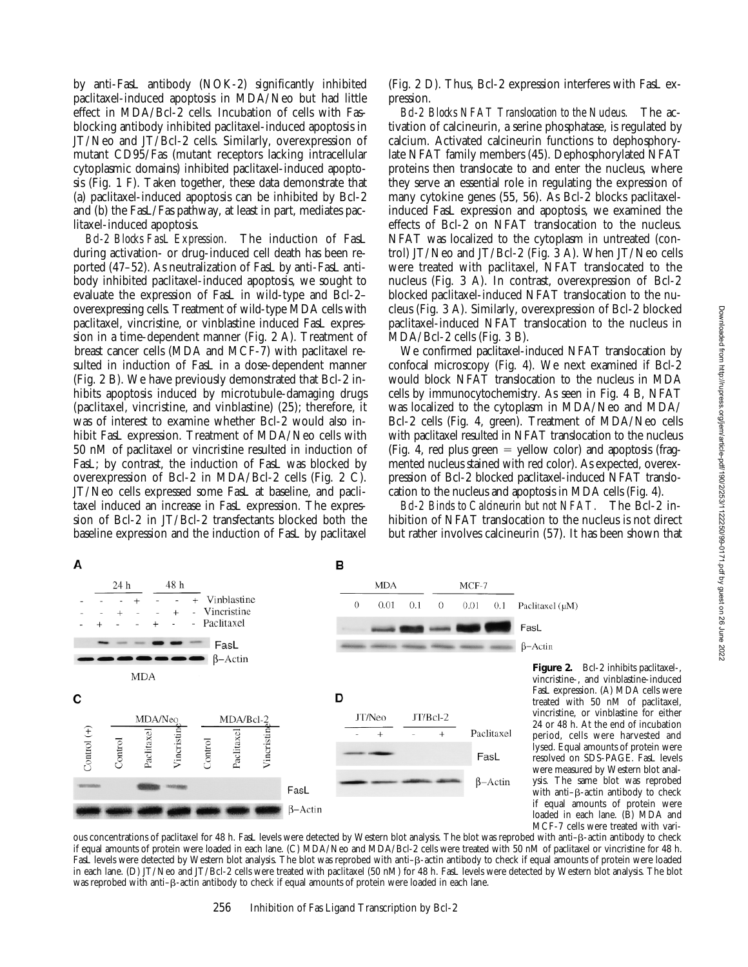by anti-FasL antibody (NOK-2) significantly inhibited paclitaxel-induced apoptosis in MDA/Neo but had little effect in MDA/Bcl-2 cells. Incubation of cells with Fasblocking antibody inhibited paclitaxel-induced apoptosis in JT/Neo and JT/Bcl-2 cells. Similarly, overexpression of mutant CD95/Fas (mutant receptors lacking intracellular cytoplasmic domains) inhibited paclitaxel-induced apoptosis (Fig. 1 F). Taken together, these data demonstrate that (a) paclitaxel-induced apoptosis can be inhibited by Bcl-2 and (b) the FasL/Fas pathway, at least in part, mediates paclitaxel-induced apoptosis.

*Bcl-2 Blocks FasL Expression.* The induction of FasL during activation- or drug-induced cell death has been reported (47–52). As neutralization of FasL by anti-FasL antibody inhibited paclitaxel-induced apoptosis, we sought to evaluate the expression of FasL in wild-type and Bcl-2– overexpressing cells. Treatment of wild-type MDA cells with paclitaxel, vincristine, or vinblastine induced FasL expression in a time-dependent manner (Fig. 2 A). Treatment of breast cancer cells (MDA and MCF-7) with paclitaxel resulted in induction of FasL in a dose-dependent manner (Fig. 2 B). We have previously demonstrated that Bcl-2 inhibits apoptosis induced by microtubule-damaging drugs (paclitaxel, vincristine, and vinblastine) (25); therefore, it was of interest to examine whether Bcl-2 would also inhibit FasL expression. Treatment of MDA/Neo cells with 50 nM of paclitaxel or vincristine resulted in induction of FasL; by contrast, the induction of FasL was blocked by overexpression of Bcl-2 in MDA/Bcl-2 cells (Fig. 2 C). JT/Neo cells expressed some FasL at baseline, and paclitaxel induced an increase in FasL expression. The expression of Bcl-2 in JT/Bcl-2 transfectants blocked both the baseline expression and the induction of FasL by paclitaxel

(Fig. 2 D). Thus, Bcl-2 expression interferes with FasL expression.

*Bcl-2 Blocks NFAT Translocation to the Nucleus.* The activation of calcineurin, a serine phosphatase, is regulated by calcium. Activated calcineurin functions to dephosphorylate NFAT family members (45). Dephosphorylated NFAT proteins then translocate to and enter the nucleus, where they serve an essential role in regulating the expression of many cytokine genes (55, 56). As Bcl-2 blocks paclitaxelinduced FasL expression and apoptosis, we examined the effects of Bcl-2 on NFAT translocation to the nucleus. NFAT was localized to the cytoplasm in untreated (control) JT/Neo and JT/Bcl-2 (Fig. 3 A). When JT/Neo cells were treated with paclitaxel, NFAT translocated to the nucleus (Fig. 3 A). In contrast, overexpression of Bcl-2 blocked paclitaxel-induced NFAT translocation to the nucleus (Fig. 3 A). Similarly, overexpression of Bcl-2 blocked paclitaxel-induced NFAT translocation to the nucleus in MDA/Bcl-2 cells (Fig. 3 B).

We confirmed paclitaxel-induced NFAT translocation by confocal microscopy (Fig. 4). We next examined if Bcl-2 would block NFAT translocation to the nucleus in MDA cells by immunocytochemistry. As seen in Fig. 4 B, NFAT was localized to the cytoplasm in MDA/Neo and MDA/ Bcl-2 cells (Fig. 4, green). Treatment of MDA/Neo cells with paclitaxel resulted in NFAT translocation to the nucleus (Fig. 4, red plus green  $=$  yellow color) and apoptosis (fragmented nucleus stained with red color). As expected, overexpression of Bcl-2 blocked paclitaxel-induced NFAT translocation to the nucleus and apoptosis in MDA cells (Fig. 4).

*Bcl-2 Binds to Calcineurin but not NFAT.* The Bcl-2 inhibition of NFAT translocation to the nucleus is not direct but rather involves calcineurin (57). It has been shown that



**Figure 2.** Bcl-2 inhibits paclitaxel-, vincristine-, and vinblastine-induced FasL expression. (A) MDA cells were treated with 50 nM of paclitaxel, vincristine, or vinblastine for either 24 or 48 h. At the end of incubation period, cells were harvested and lysed. Equal amounts of protein were resolved on SDS-PAGE. FasL levels were measured by Western blot analysis. The same blot was reprobed with anti- $\beta$ -actin antibody to check if equal amounts of protein were loaded in each lane. (B) MDA and MCF-7 cells were treated with vari-

ous concentrations of paclitaxel for 48 h. FasL levels were detected by Western blot analysis. The blot was reprobed with anti–b-actin antibody to check if equal amounts of protein were loaded in each lane. (C) MDA/Neo and MDA/Bcl-2 cells were treated with 50 nM of paclitaxel or vincristine for 48 h. FasL levels were detected by Western blot analysis. The blot was reprobed with anti– $\beta$ -actin antibody to check if equal amounts of protein were loaded in each lane. (D) JT/Neo and JT/Bcl-2 cells were treated with paclitaxel (50 nM) for 48 h. FasL levels were detected by Western blot analysis. The blot was reprobed with anti- $\beta$ -actin antibody to check if equal amounts of protein were loaded in each lane.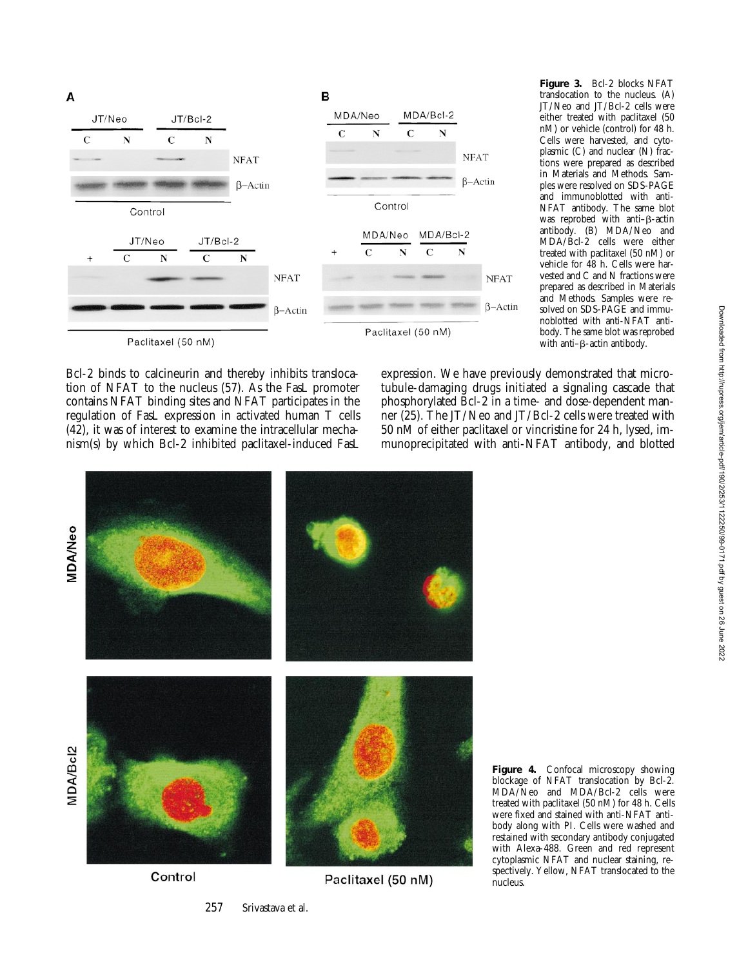

**Figure 3.** Bcl-2 blocks NFAT translocation to the nucleus. (A) JT/Neo and JT/Bcl-2 cells were either treated with paclitaxel (50 nM) or vehicle (control) for 48 h. Cells were harvested, and cytoplasmic (C) and nuclear (N) fractions were prepared as described in Materials and Methods. Samples were resolved on SDS-PAGE and immunoblotted with anti-NFAT antibody. The same blot was reprobed with anti- $\beta$ -actin antibody. (B) MDA/Neo and MDA/Bcl-2 cells were either treated with paclitaxel (50 nM) or vehicle for 48 h. Cells were harvested and C and N fractions were prepared as described in Materials and Methods. Samples were resolved on SDS-PAGE and immunoblotted with anti-NFAT antibody. The same blot was reprobed with anti- $\beta$ -actin antibody.

Bcl-2 binds to calcineurin and thereby inhibits translocation of NFAT to the nucleus (57). As the FasL promoter contains NFAT binding sites and NFAT participates in the regulation of FasL expression in activated human T cells (42), it was of interest to examine the intracellular mechanism(s) by which Bcl-2 inhibited paclitaxel-induced FasL expression. We have previously demonstrated that microtubule-damaging drugs initiated a signaling cascade that phosphorylated Bcl-2 in a time- and dose-dependent manner (25). The JT/Neo and JT/Bcl-2 cells were treated with 50 nM of either paclitaxel or vincristine for 24 h, lysed, immunoprecipitated with anti-NFAT antibody, and blotted



Control

Paclitaxel (50 nM)

**Figure 4.** Confocal microscopy showing blockage of NFAT translocation by Bcl-2. MDA/Neo and MDA/Bcl-2 cells were treated with paclitaxel (50 nM) for 48 h. Cells were fixed and stained with anti-NFAT antibody along with PI. Cells were washed and restained with secondary antibody conjugated with Alexa-488. Green and red represent cytoplasmic NFAT and nuclear staining, respectively. Yellow, NFAT translocated to the nucleus.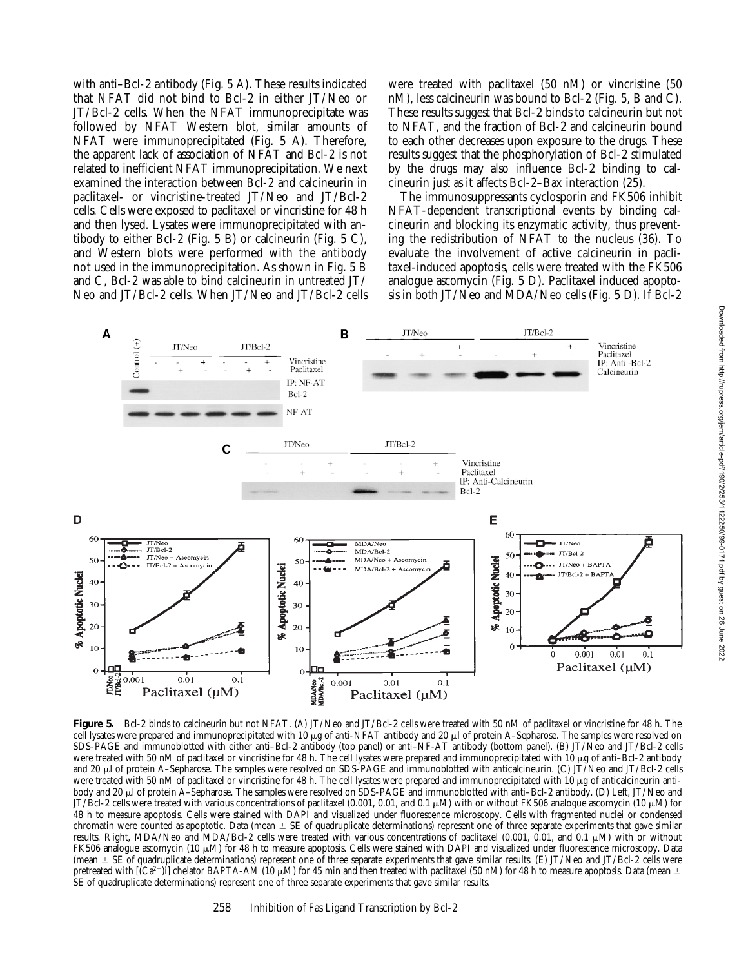with anti–Bcl-2 antibody (Fig. 5 A). These results indicated that NFAT did not bind to Bcl-2 in either JT/Neo or JT/Bcl-2 cells. When the NFAT immunoprecipitate was followed by NFAT Western blot, similar amounts of NFAT were immunoprecipitated (Fig. 5 A). Therefore, the apparent lack of association of NFAT and Bcl-2 is not related to inefficient NFAT immunoprecipitation. We next examined the interaction between Bcl-2 and calcineurin in paclitaxel- or vincristine-treated JT/Neo and JT/Bcl-2 cells. Cells were exposed to paclitaxel or vincristine for 48 h and then lysed. Lysates were immunoprecipitated with antibody to either Bcl-2 (Fig. 5 B) or calcineurin (Fig. 5 C), and Western blots were performed with the antibody not used in the immunoprecipitation. As shown in Fig. 5 B and C, Bcl-2 was able to bind calcineurin in untreated JT/ Neo and JT/Bcl-2 cells. When JT/Neo and JT/Bcl-2 cells

were treated with paclitaxel (50 nM) or vincristine (50 nM), less calcineurin was bound to Bcl-2 (Fig. 5, B and C). These results suggest that Bcl-2 binds to calcineurin but not to NFAT, and the fraction of Bcl-2 and calcineurin bound to each other decreases upon exposure to the drugs. These results suggest that the phosphorylation of Bcl-2 stimulated by the drugs may also influence Bcl-2 binding to calcineurin just as it affects Bcl-2–Bax interaction (25).

The immunosuppressants cyclosporin and FK506 inhibit NFAT-dependent transcriptional events by binding calcineurin and blocking its enzymatic activity, thus preventing the redistribution of NFAT to the nucleus (36). To evaluate the involvement of active calcineurin in paclitaxel-induced apoptosis, cells were treated with the FK506 analogue ascomycin (Fig. 5 D). Paclitaxel induced apoptosis in both JT/Neo and MDA/Neo cells (Fig. 5 D). If Bcl-2



Figure 5. Bcl-2 binds to calcineurin but not NFAT. (A) JT/Neo and JT/Bcl-2 cells were treated with 50 nM of paclitaxel or vincristine for 48 h. The cell lysates were prepared and immunoprecipitated with 10 µg of anti-NFAT antibody and 20 µl of protein A–Sepharose. The samples were resolved on SDS-PAGE and immunoblotted with either anti–Bcl-2 antibody (top panel) or anti–NF-AT antibody (bottom panel). (B) JT/Neo and JT/Bcl-2 cells were treated with 50 nM of paclitaxel or vincristine for 48 h. The cell lysates were prepared and immunoprecipitated with 10 µg of anti–Bcl-2 antibody and 20 μl of protein A–Sepharose. The samples were resolved on SDS-PAGE and immunoblotted with anticalcineurin. (C) JT/Neo and JT/Bcl-2 cells were treated with 50 nM of paclitaxel or vincristine for 48 h. The cell lysates were prepared and immunoprecipitated with 10 µg of anticalcineurin antibody and 20 μl of protein A–Sepharose. The samples were resolved on SDS-PAGE and immunoblotted with anti–Bcl-2 antibody. (D) Left, JT/Neo and JT/Bcl-2 cells were treated with various concentrations of paclitaxel (0.001, 0.01, and 0.1  $\mu$ M) with or without FK506 analogue ascomycin (10  $\mu$ M) for 48 h to measure apoptosis. Cells were stained with DAPI and visualized under fluorescence microscopy. Cells with fragmented nuclei or condensed chromatin were counted as apoptotic. Data (mean  $\pm$  SE of quadruplicate determinations) represent one of three separate experiments that gave similar results. Right, MDA/Neo and MDA/Bcl-2 cells were treated with various concentrations of paclitaxel (0.001, 0.01, and 0.1  $\mu$ M) with or without FK506 analogue ascomycin (10  $\mu$ M) for 48 h to measure apoptosis. Cells were stained with DAPI and visualized under fluorescence microscopy. Data (mean  $\pm$  SE of quadruplicate determinations) represent one of three separate experiments that gave similar results. (E) JT/Neo and JT/Bcl-2 cells were pretreated with  $[Ca^{2+}j]$  chelator BAPTA-AM (10  $\mu$ M) for 45 min and then treated with paclitaxel (50 nM) for 48 h to measure apoptosis. Data (mean  $\pm$ SE of quadruplicate determinations) represent one of three separate experiments that gave similar results.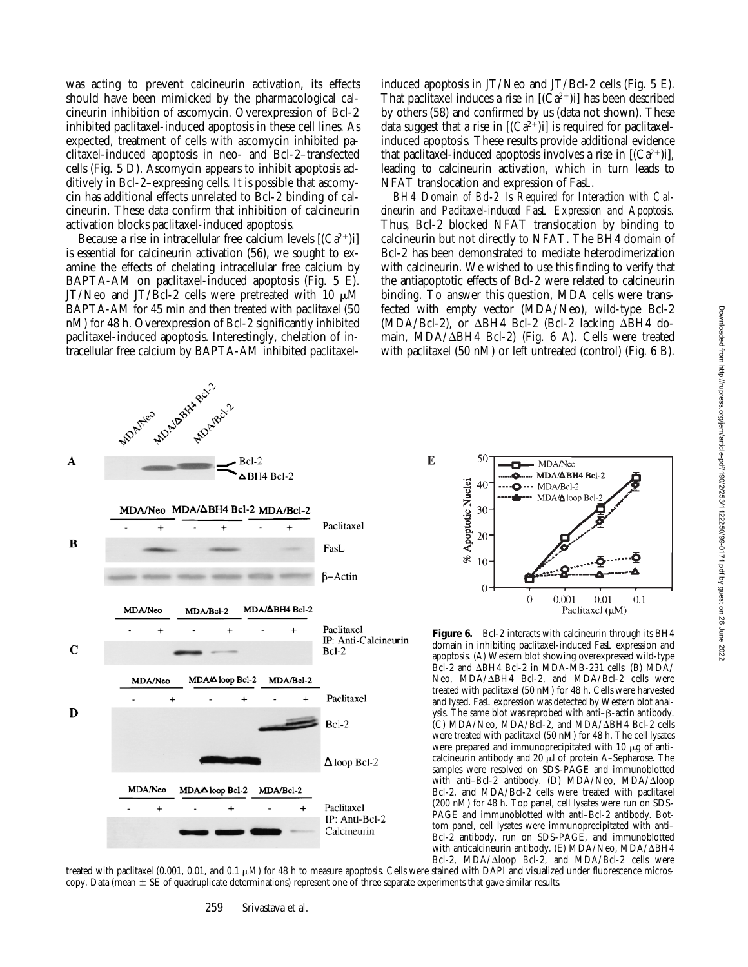was acting to prevent calcineurin activation, its effects should have been mimicked by the pharmacological calcineurin inhibition of ascomycin. Overexpression of Bcl-2 inhibited paclitaxel-induced apoptosis in these cell lines. As expected, treatment of cells with ascomycin inhibited paclitaxel-induced apoptosis in neo- and Bcl-2–transfected cells (Fig. 5 D). Ascomycin appears to inhibit apoptosis additively in Bcl-2–expressing cells. It is possible that ascomycin has additional effects unrelated to Bcl-2 binding of calcineurin. These data confirm that inhibition of calcineurin activation blocks paclitaxel-induced apoptosis.

Because a rise in intracellular free calcium levels  $[(Ca^{2+})i]$ is essential for calcineurin activation (56), we sought to examine the effects of chelating intracellular free calcium by BAPTA-AM on paclitaxel-induced apoptosis (Fig. 5 E). JT/Neo and JT/Bcl-2 cells were pretreated with 10  $\mu$ M BAPTA-AM for 45 min and then treated with paclitaxel (50 nM) for 48 h. Overexpression of Bcl-2 significantly inhibited paclitaxel-induced apoptosis. Interestingly, chelation of intracellular free calcium by BAPTA-AM inhibited paclitaxelinduced apoptosis in JT/Neo and JT/Bcl-2 cells (Fig. 5 E). That paclitaxel induces a rise in  $[(Ca^{2+})i]$  has been described by others (58) and confirmed by us (data not shown). These data suggest that a rise in  $[(Ca^{2+})i]$  is required for paclitaxelinduced apoptosis. These results provide additional evidence that paclitaxel-induced apoptosis involves a rise in  $[(Ca^{2+})i]$ , leading to calcineurin activation, which in turn leads to NFAT translocation and expression of FasL.

*BH4 Domain of Bcl-2 Is Required for Interaction with Calcineurin and Paclitaxel-induced FasL Expression and Apoptosis.* Thus, Bcl-2 blocked NFAT translocation by binding to calcineurin but not directly to NFAT. The BH4 domain of Bcl-2 has been demonstrated to mediate heterodimerization with calcineurin. We wished to use this finding to verify that the antiapoptotic effects of Bcl-2 were related to calcineurin binding. To answer this question, MDA cells were transfected with empty vector (MDA/Neo), wild-type Bcl-2  $(MDA/BCI-2)$ , or  $\Delta BH4$  Bcl-2 (Bcl-2 lacking  $\Delta BH4$  domain, MDA/ $\Delta$ BH4 Bcl-2) (Fig. 6 A). Cells were treated with paclitaxel (50 nM) or left untreated (control) (Fig. 6 B).

 $\mathbf{E}$ 



50 MDA/Neo ... MDA/**∆BH4 Bcl-2** ▵ % Apoptotic Nuclei  $40^{\circ}$ - MDA/Bcl-2 MDA/Aloop Bel 30 20  $10<sup>5</sup>$  $\Omega$  $\theta$ 0.001  $0.01$  $0.1$ Paclitaxel (µM)



treated with paclitaxel (0.001, 0.01, and 0.1  $\mu$ M) for 48 h to measure apoptosis. Cells were stained with DAPI and visualized under fluorescence microscopy. Data (mean  $\pm$  SE of quadruplicate determinations) represent one of three separate experiments that gave similar results.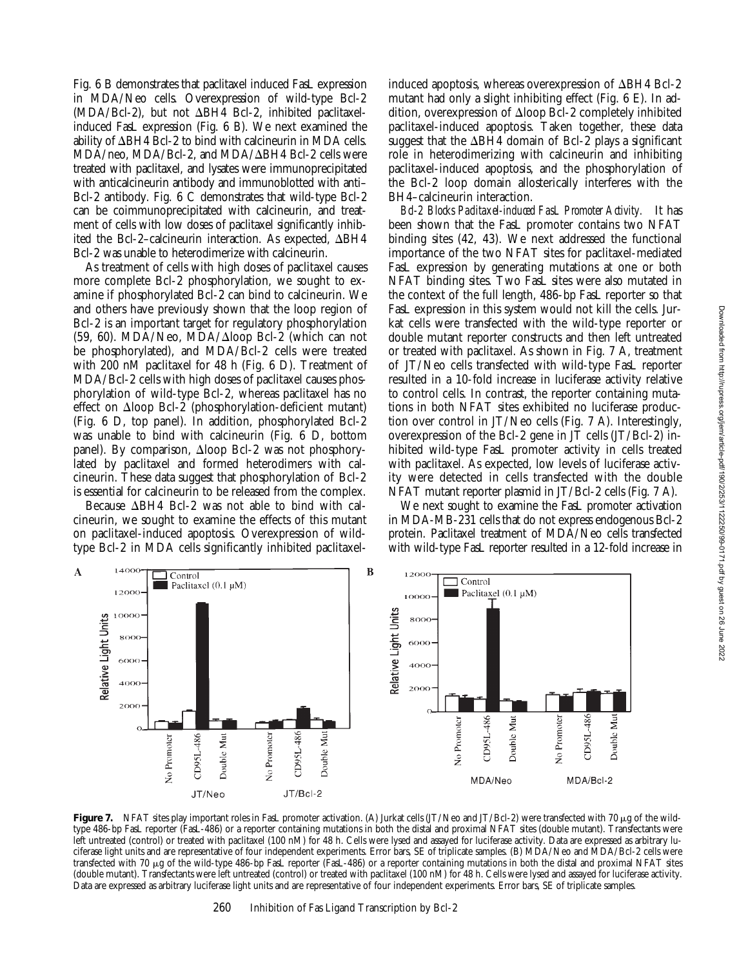Fig. 6 B demonstrates that paclitaxel induced FasL expression in MDA/Neo cells. Overexpression of wild-type Bcl-2  $(MDA/BCI-2)$ , but not  $\Delta BH4$  Bcl-2, inhibited paclitaxelinduced FasL expression (Fig. 6 B). We next examined the ability of  $\Delta$ BH4 Bcl-2 to bind with calcineurin in MDA cells.  $MDA/neo$ ,  $MDA/Bel-2$ , and  $MDA/ΔBH4$  Bcl-2 cells were treated with paclitaxel, and lysates were immunoprecipitated with anticalcineurin antibody and immunoblotted with anti– Bcl-2 antibody. Fig. 6 C demonstrates that wild-type Bcl-2 can be coimmunoprecipitated with calcineurin, and treatment of cells with low doses of paclitaxel significantly inhibited the Bcl-2–calcineurin interaction. As expected,  $\Delta BH4$ Bcl-2 was unable to heterodimerize with calcineurin.

As treatment of cells with high doses of paclitaxel causes more complete Bcl-2 phosphorylation, we sought to examine if phosphorylated Bcl-2 can bind to calcineurin. We and others have previously shown that the loop region of Bcl-2 is an important target for regulatory phosphorylation  $(59, 60)$ . MDA/Neo, MDA/ $\Delta$ loop Bcl-2 (which can not be phosphorylated), and MDA/Bcl-2 cells were treated with 200 nM paclitaxel for 48 h (Fig. 6 D). Treatment of MDA/Bcl-2 cells with high doses of paclitaxel causes phosphorylation of wild-type Bcl-2, whereas paclitaxel has no effect on  $\Delta$ loop Bcl-2 (phosphorylation-deficient mutant) (Fig. 6 D, top panel). In addition, phosphorylated Bcl-2 was unable to bind with calcineurin (Fig. 6 D, bottom panel). By comparison,  $\Delta$ loop Bcl-2 was not phosphorylated by paclitaxel and formed heterodimers with calcineurin. These data suggest that phosphorylation of Bcl-2 is essential for calcineurin to be released from the complex.

Because  $\Delta$ BH4 Bcl-2 was not able to bind with calcineurin, we sought to examine the effects of this mutant on paclitaxel-induced apoptosis. Overexpression of wildtype Bcl-2 in MDA cells significantly inhibited paclitaxel-

 $\exists$  Control

 $\overline{\mathbf{A}}$ 

induced apoptosis, whereas overexpression of  $\Delta$ BH4 Bcl-2 mutant had only a slight inhibiting effect (Fig. 6 E). In addition, overexpression of  $\Delta$ loop Bcl-2 completely inhibited paclitaxel-induced apoptosis. Taken together, these data suggest that the  $\Delta BH4$  domain of Bcl-2 plays a significant role in heterodimerizing with calcineurin and inhibiting paclitaxel-induced apoptosis, and the phosphorylation of the Bcl-2 loop domain allosterically interferes with the BH4–calcineurin interaction.

*Bcl-2 Blocks Paclitaxel-induced FasL Promoter Activity.* It has been shown that the FasL promoter contains two NFAT binding sites (42, 43). We next addressed the functional importance of the two NFAT sites for paclitaxel-mediated FasL expression by generating mutations at one or both NFAT binding sites. Two FasL sites were also mutated in the context of the full length, 486-bp FasL reporter so that FasL expression in this system would not kill the cells. Jurkat cells were transfected with the wild-type reporter or double mutant reporter constructs and then left untreated or treated with paclitaxel. As shown in Fig. 7 A, treatment of JT/Neo cells transfected with wild-type FasL reporter resulted in a 10-fold increase in luciferase activity relative to control cells. In contrast, the reporter containing mutations in both NFAT sites exhibited no luciferase production over control in JT/Neo cells (Fig. 7 A). Interestingly, overexpression of the Bcl-2 gene in JT cells (JT/Bcl-2) inhibited wild-type FasL promoter activity in cells treated with paclitaxel. As expected, low levels of luciferase activity were detected in cells transfected with the double NFAT mutant reporter plasmid in JT/Bcl-2 cells (Fig. 7 A).

We next sought to examine the FasL promoter activation in MDA-MB-231 cells that do not express endogenous Bcl-2 protein. Paclitaxel treatment of MDA/Neo cells transfected with wild-type FasL reporter resulted in a 12-fold increase in



 $\overline{B}$ 

12000

type 486-bp FasL reporter (FasL-486) or a reporter containing mutations in both the distal and proximal NFAT sites (double mutant). Transfectants were left untreated (control) or treated with paclitaxel (100 nM) for 48 h. Cells were lysed and assayed for luciferase activity. Data are expressed as arbitrary luciferase light units and are representative of four independent experiments. Error bars, SE of triplicate samples. (B) MDA/Neo and MDA/Bcl-2 cells were transfected with 70 mg of the wild-type 486-bp FasL reporter (FasL-486) or a reporter containing mutations in both the distal and proximal NFAT sites (double mutant). Transfectants were left untreated (control) or treated with paclitaxel (100 nM) for 48 h. Cells were lysed and assayed for luciferase activity. Data are expressed as arbitrary luciferase light units and are representative of four independent experiments. Error bars, SE of triplicate samples.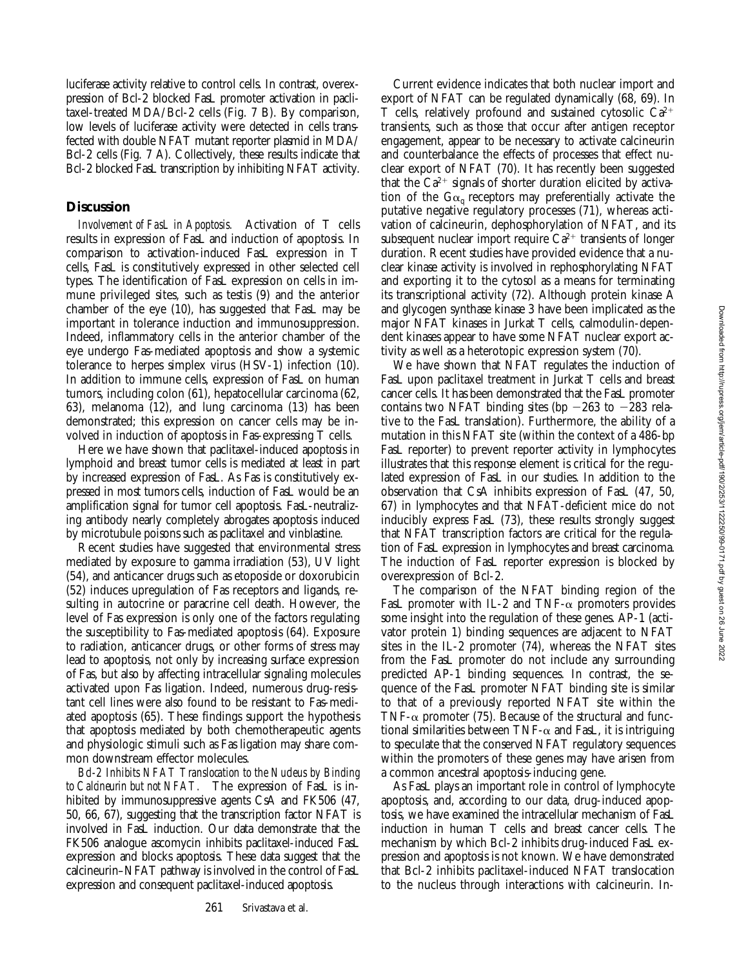luciferase activity relative to control cells. In contrast, overexpression of Bcl-2 blocked FasL promoter activation in paclitaxel-treated MDA/Bcl-2 cells (Fig. 7 B). By comparison, low levels of luciferase activity were detected in cells transfected with double NFAT mutant reporter plasmid in MDA/ Bcl-2 cells (Fig. 7 A). Collectively, these results indicate that Bcl-2 blocked FasL transcription by inhibiting NFAT activity.

### **Discussion**

*Involvement of FasL in Apoptosis.* Activation of T cells results in expression of FasL and induction of apoptosis. In comparison to activation-induced FasL expression in T cells, FasL is constitutively expressed in other selected cell types. The identification of FasL expression on cells in immune privileged sites, such as testis (9) and the anterior chamber of the eye (10), has suggested that FasL may be important in tolerance induction and immunosuppression. Indeed, inflammatory cells in the anterior chamber of the eye undergo Fas-mediated apoptosis and show a systemic tolerance to herpes simplex virus (HSV-1) infection (10). In addition to immune cells, expression of FasL on human tumors, including colon (61), hepatocellular carcinoma (62, 63), melanoma (12), and lung carcinoma (13) has been demonstrated; this expression on cancer cells may be involved in induction of apoptosis in Fas-expressing T cells.

Here we have shown that paclitaxel-induced apoptosis in lymphoid and breast tumor cells is mediated at least in part by increased expression of FasL. As Fas is constitutively expressed in most tumors cells, induction of FasL would be an amplification signal for tumor cell apoptosis. FasL-neutralizing antibody nearly completely abrogates apoptosis induced by microtubule poisons such as paclitaxel and vinblastine.

Recent studies have suggested that environmental stress mediated by exposure to gamma irradiation (53), UV light (54), and anticancer drugs such as etoposide or doxorubicin (52) induces upregulation of Fas receptors and ligands, resulting in autocrine or paracrine cell death. However, the level of Fas expression is only one of the factors regulating the susceptibility to Fas-mediated apoptosis (64). Exposure to radiation, anticancer drugs, or other forms of stress may lead to apoptosis, not only by increasing surface expression of Fas, but also by affecting intracellular signaling molecules activated upon Fas ligation. Indeed, numerous drug-resistant cell lines were also found to be resistant to Fas-mediated apoptosis (65). These findings support the hypothesis that apoptosis mediated by both chemotherapeutic agents and physiologic stimuli such as Fas ligation may share common downstream effector molecules.

*Bcl-2 Inhibits NFAT Translocation to the Nucleus by Binding to Calcineurin but not NFAT.* The expression of FasL is inhibited by immunosuppressive agents CsA and FK506 (47, 50, 66, 67), suggesting that the transcription factor NFAT is involved in FasL induction. Our data demonstrate that the FK506 analogue ascomycin inhibits paclitaxel-induced FasL expression and blocks apoptosis. These data suggest that the calcineurin–NFAT pathway is involved in the control of FasL expression and consequent paclitaxel-induced apoptosis.

Current evidence indicates that both nuclear import and export of NFAT can be regulated dynamically (68, 69). In T cells, relatively profound and sustained cytosolic  $Ca^{2+}$ transients, such as those that occur after antigen receptor engagement, appear to be necessary to activate calcineurin and counterbalance the effects of processes that effect nuclear export of NFAT (70). It has recently been suggested that the  $Ca^{2+}$  signals of shorter duration elicited by activation of the  $G\alpha_{q}$  receptors may preferentially activate the putative negative regulatory processes (71), whereas activation of calcineurin, dephosphorylation of NFAT, and its subsequent nuclear import require  $Ca^{2+}$  transients of longer duration. Recent studies have provided evidence that a nuclear kinase activity is involved in rephosphorylating NFAT and exporting it to the cytosol as a means for terminating its transcriptional activity (72). Although protein kinase A and glycogen synthase kinase 3 have been implicated as the major NFAT kinases in Jurkat T cells, calmodulin-dependent kinases appear to have some NFAT nuclear export activity as well as a heterotopic expression system (70).

We have shown that NFAT regulates the induction of FasL upon paclitaxel treatment in Jurkat T cells and breast cancer cells. It has been demonstrated that the FasL promoter contains two NFAT binding sites (bp  $-263$  to  $-283$  relative to the FasL translation). Furthermore, the ability of a mutation in this NFAT site (within the context of a 486-bp FasL reporter) to prevent reporter activity in lymphocytes illustrates that this response element is critical for the regulated expression of FasL in our studies. In addition to the observation that CsA inhibits expression of FasL (47, 50, 67) in lymphocytes and that NFAT-deficient mice do not inducibly express FasL (73), these results strongly suggest that NFAT transcription factors are critical for the regulation of FasL expression in lymphocytes and breast carcinoma. The induction of FasL reporter expression is blocked by overexpression of Bcl-2.

The comparison of the NFAT binding region of the FasL promoter with IL-2 and TNF- $\alpha$  promoters provides some insight into the regulation of these genes. AP-1 (activator protein 1) binding sequences are adjacent to NFAT sites in the IL-2 promoter (74), whereas the NFAT sites from the FasL promoter do not include any surrounding predicted AP-1 binding sequences. In contrast, the sequence of the FasL promoter NFAT binding site is similar to that of a previously reported NFAT site within the TNF- $\alpha$  promoter (75). Because of the structural and functional similarities between  $TNF-\alpha$  and FasL, it is intriguing to speculate that the conserved NFAT regulatory sequences within the promoters of these genes may have arisen from a common ancestral apoptosis-inducing gene.

As FasL plays an important role in control of lymphocyte apoptosis, and, according to our data, drug-induced apoptosis, we have examined the intracellular mechanism of FasL induction in human T cells and breast cancer cells. The mechanism by which Bcl-2 inhibits drug-induced FasL expression and apoptosis is not known. We have demonstrated that Bcl-2 inhibits paclitaxel-induced NFAT translocation to the nucleus through interactions with calcineurin. In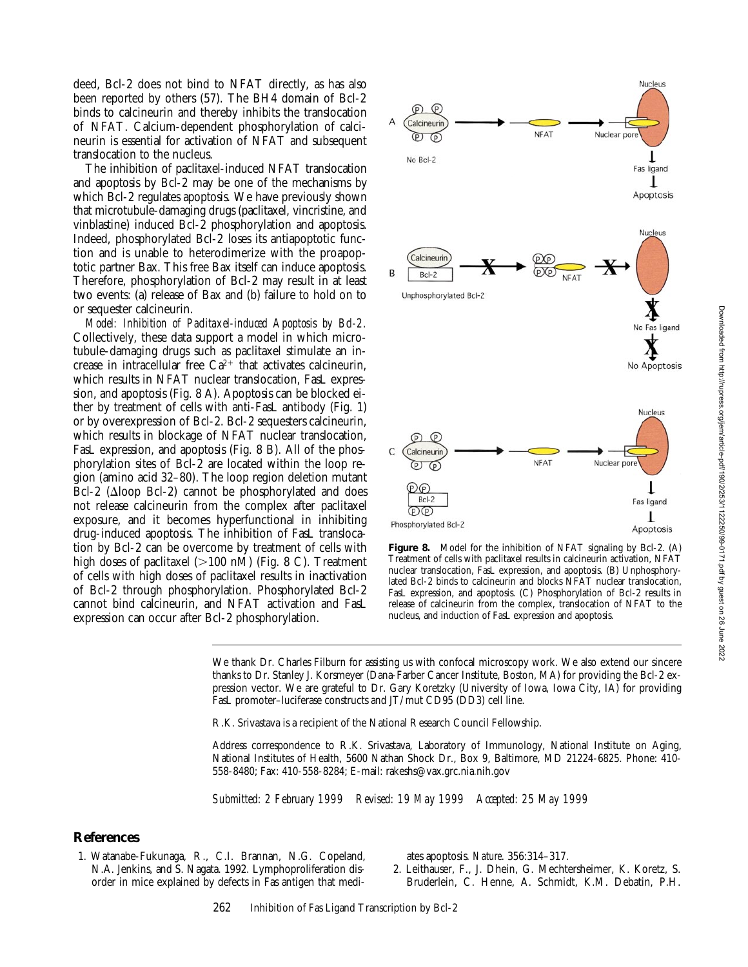deed, Bcl-2 does not bind to NFAT directly, as has also been reported by others (57). The BH4 domain of Bcl-2 binds to calcineurin and thereby inhibits the translocation of NFAT. Calcium-dependent phosphorylation of calcineurin is essential for activation of NFAT and subsequent translocation to the nucleus.

The inhibition of paclitaxel-induced NFAT translocation and apoptosis by Bcl-2 may be one of the mechanisms by which Bcl-2 regulates apoptosis. We have previously shown that microtubule-damaging drugs (paclitaxel, vincristine, and vinblastine) induced Bcl-2 phosphorylation and apoptosis. Indeed, phosphorylated Bcl-2 loses its antiapoptotic function and is unable to heterodimerize with the proapoptotic partner Bax. This free Bax itself can induce apoptosis. Therefore, phosphorylation of Bcl-2 may result in at least two events: (a) release of Bax and (b) failure to hold on to or sequester calcineurin.

*Model: Inhibition of Paclitaxel-induced Apoptosis by Bcl-2.* Collectively, these data support a model in which microtubule-damaging drugs such as paclitaxel stimulate an increase in intracellular free  $Ca^{2+}$  that activates calcineurin, which results in NFAT nuclear translocation, FasL expression, and apoptosis (Fig. 8 A). Apoptosis can be blocked either by treatment of cells with anti-FasL antibody (Fig. 1) or by overexpression of Bcl-2. Bcl-2 sequesters calcineurin, which results in blockage of NFAT nuclear translocation, FasL expression, and apoptosis (Fig. 8 B). All of the phosphorylation sites of Bcl-2 are located within the loop region (amino acid 32–80). The loop region deletion mutant Bcl-2 ( $\Delta$ loop Bcl-2) cannot be phosphorylated and does not release calcineurin from the complex after paclitaxel exposure, and it becomes hyperfunctional in inhibiting drug-induced apoptosis. The inhibition of FasL translocation by Bcl-2 can be overcome by treatment of cells with high doses of paclitaxel  $(>100 \text{ nM})$  (Fig. 8 C). Treatment of cells with high doses of paclitaxel results in inactivation of Bcl-2 through phosphorylation. Phosphorylated Bcl-2 cannot bind calcineurin, and NFAT activation and FasL expression can occur after Bcl-2 phosphorylation.



**Figure 8.** Model for the inhibition of NFAT signaling by Bcl-2. (A) Treatment of cells with paclitaxel results in calcineurin activation, NFAT nuclear translocation, FasL expression, and apoptosis. (B) Unphosphorylated Bcl-2 binds to calcineurin and blocks NFAT nuclear translocation, FasL expression, and apoptosis. (C) Phosphorylation of Bcl-2 results in release of calcineurin from the complex, translocation of NFAT to the nucleus, and induction of FasL expression and apoptosis.

We thank Dr. Charles Filburn for assisting us with confocal microscopy work. We also extend our sincere thanks to Dr. Stanley J. Korsmeyer (Dana-Farber Cancer Institute, Boston, MA) for providing the Bcl-2 expression vector. We are grateful to Dr. Gary Koretzky (University of Iowa, Iowa City, IA) for providing FasL promoter–luciferase constructs and JT/mut CD95 (DD3) cell line.

R.K. Srivastava is a recipient of the National Research Council Fellowship.

Address correspondence to R.K. Srivastava, Laboratory of Immunology, National Institute on Aging, National Institutes of Health, 5600 Nathan Shock Dr., Box 9, Baltimore, MD 21224-6825. Phone: 410- 558-8480; Fax: 410-558-8284; E-mail: rakeshs@vax.grc.nia.nih.gov

*Submitted: 2 February 1999 Revised: 19 May 1999 Accepted: 25 May 1999*

## **References**

1. Watanabe-Fukunaga, R., C.I. Brannan, N.G. Copeland, N.A. Jenkins, and S. Nagata. 1992. Lymphoproliferation disorder in mice explained by defects in Fas antigen that mediates apoptosis. *Nature*. 356:314–317.

2. Leithauser, F., J. Dhein, G. Mechtersheimer, K. Koretz, S. Bruderlein, C. Henne, A. Schmidt, K.M. Debatin, P.H.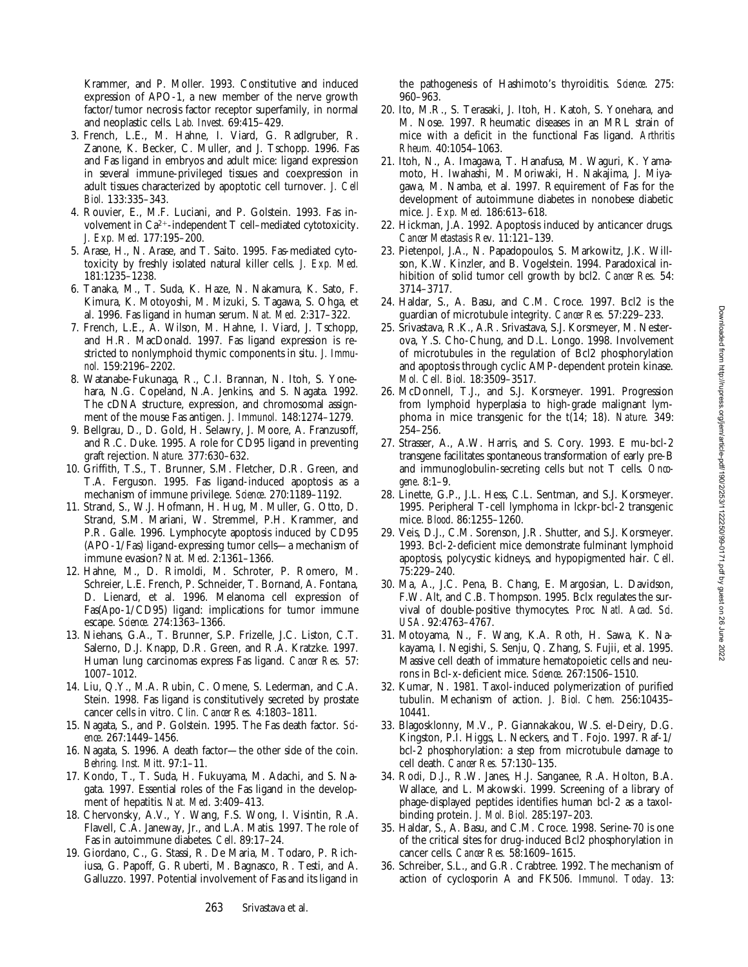Krammer, and P. Moller. 1993. Constitutive and induced expression of APO-1, a new member of the nerve growth factor/tumor necrosis factor receptor superfamily, in normal and neoplastic cells. *Lab. Invest.* 69:415–429.

- 3. French, L.E., M. Hahne, I. Viard, G. Radlgruber, R. Zanone, K. Becker, C. Muller, and J. Tschopp. 1996. Fas and Fas ligand in embryos and adult mice: ligand expression in several immune-privileged tissues and coexpression in adult tissues characterized by apoptotic cell turnover. *J. Cell Biol.* 133:335–343.
- 4. Rouvier, E., M.F. Luciani, and P. Golstein. 1993. Fas involvement in  $Ca^{2+}$ -independent T cell–mediated cytotoxicity. *J. Exp. Med.* 177:195–200.
- 5. Arase, H., N. Arase, and T. Saito. 1995. Fas-mediated cytotoxicity by freshly isolated natural killer cells. *J. Exp. Med.* 181:1235–1238.
- 6. Tanaka, M., T. Suda, K. Haze, N. Nakamura, K. Sato, F. Kimura, K. Motoyoshi, M. Mizuki, S. Tagawa, S. Ohga, et al. 1996. Fas ligand in human serum. *Nat. Med.* 2:317–322.
- 7. French, L.E., A. Wilson, M. Hahne, I. Viard, J. Tschopp, and H.R. MacDonald. 1997. Fas ligand expression is restricted to nonlymphoid thymic components in situ. *J. Immunol.* 159:2196–2202.
- 8. Watanabe-Fukunaga, R., C.I. Brannan, N. Itoh, S. Yonehara, N.G. Copeland, N.A. Jenkins, and S. Nagata. 1992. The cDNA structure, expression, and chromosomal assignment of the mouse Fas antigen. *J. Immunol.* 148:1274–1279.
- 9. Bellgrau, D., D. Gold, H. Selawry, J. Moore, A. Franzusoff, and R.C. Duke. 1995. A role for CD95 ligand in preventing graft rejection. *Nature.* 377:630–632.
- 10. Griffith, T.S., T. Brunner, S.M. Fletcher, D.R. Green, and T.A. Ferguson. 1995. Fas ligand-induced apoptosis as a mechanism of immune privilege. *Science*. 270:1189–1192.
- 11. Strand, S., W.J. Hofmann, H. Hug, M. Muller, G. Otto, D. Strand, S.M. Mariani, W. Stremmel, P.H. Krammer, and P.R. Galle. 1996. Lymphocyte apoptosis induced by CD95 (APO-1/Fas) ligand-expressing tumor cells—a mechanism of immune evasion? *Nat. Med*. 2:1361–1366.
- 12. Hahne, M., D. Rimoldi, M. Schroter, P. Romero, M. Schreier, L.E. French, P. Schneider, T. Bornand, A. Fontana, D. Lienard, et al. 1996. Melanoma cell expression of Fas(Apo-1/CD95) ligand: implications for tumor immune escape. *Science.* 274:1363–1366.
- 13. Niehans, G.A., T. Brunner, S.P. Frizelle, J.C. Liston, C.T. Salerno, D.J. Knapp, D.R. Green, and R.A. Kratzke. 1997. Human lung carcinomas express Fas ligand. *Cancer Res.* 57: 1007–1012.
- 14. Liu, Q.Y., M.A. Rubin, C. Omene, S. Lederman, and C.A. Stein. 1998. Fas ligand is constitutively secreted by prostate cancer cells in vitro. *Clin. Cancer Res.* 4:1803–1811.
- 15. Nagata, S., and P. Golstein. 1995. The Fas death factor. *Science*. 267:1449–1456.
- 16. Nagata, S. 1996. A death factor—the other side of the coin. *Behring. Inst. Mitt*. 97:1–11.
- 17. Kondo, T., T. Suda, H. Fukuyama, M. Adachi, and S. Nagata. 1997. Essential roles of the Fas ligand in the development of hepatitis. *Nat. Med*. 3:409–413.
- 18. Chervonsky, A.V., Y. Wang, F.S. Wong, I. Visintin, R.A. Flavell, C.A. Janeway, Jr., and L.A. Matis. 1997. The role of Fas in autoimmune diabetes. *Cell*. 89:17–24.
- 19. Giordano, C., G. Stassi, R. De Maria, M. Todaro, P. Richiusa, G. Papoff, G. Ruberti, M. Bagnasco, R. Testi, and A. Galluzzo. 1997. Potential involvement of Fas and its ligand in

the pathogenesis of Hashimoto's thyroiditis. *Science*. 275: 960–963.

- 20. Ito, M.R., S. Terasaki, J. Itoh, H. Katoh, S. Yonehara, and M. Nose. 1997. Rheumatic diseases in an MRL strain of mice with a deficit in the functional Fas ligand. *Arthritis Rheum.* 40:1054–1063.
- 21. Itoh, N., A. Imagawa, T. Hanafusa, M. Waguri, K. Yamamoto, H. Iwahashi, M. Moriwaki, H. Nakajima, J. Miyagawa, M. Namba, et al. 1997. Requirement of Fas for the development of autoimmune diabetes in nonobese diabetic mice. *J. Exp. Med.* 186:613–618.
- 22. Hickman, J.A. 1992. Apoptosis induced by anticancer drugs. *Cancer Metastasis Rev*. 11:121–139.
- 23. Pietenpol, J.A., N. Papadopoulos, S. Markowitz, J.K. Willson, K.W. Kinzler, and B. Vogelstein. 1994. Paradoxical inhibition of solid tumor cell growth by bcl2. *Cancer Res.* 54: 3714–3717.
- 24. Haldar, S., A. Basu, and C.M. Croce. 1997. Bcl2 is the guardian of microtubule integrity. *Cancer Res.* 57:229–233.
- 25. Srivastava, R.K., A.R. Srivastava, S.J. Korsmeyer, M. Nesterova, Y.S. Cho-Chung, and D.L. Longo. 1998. Involvement of microtubules in the regulation of Bcl2 phosphorylation and apoptosis through cyclic AMP-dependent protein kinase. *Mol. Cell. Biol.* 18:3509–3517.
- 26. McDonnell, T.J., and S.J. Korsmeyer. 1991. Progression from lymphoid hyperplasia to high-grade malignant lymphoma in mice transgenic for the t(14; 18). *Nature.* 349: 254–256.
- 27. Strasser, A., A.W. Harris, and S. Cory. 1993. E mu-bcl-2 transgene facilitates spontaneous transformation of early pre-B and immunoglobulin-secreting cells but not T cells. *Oncogene*. 8:1–9.
- 28. Linette, G.P., J.L. Hess, C.L. Sentman, and S.J. Korsmeyer. 1995. Peripheral T-cell lymphoma in lckpr-bcl-2 transgenic mice. *Blood*. 86:1255–1260.
- 29. Veis, D.J., C.M. Sorenson, J.R. Shutter, and S.J. Korsmeyer. 1993. Bcl-2-deficient mice demonstrate fulminant lymphoid apoptosis, polycystic kidneys, and hypopigmented hair. *Cell*. 75:229–240.
- 30. Ma, A., J.C. Pena, B. Chang, E. Margosian, L. Davidson, F.W. Alt, and C.B. Thompson. 1995. Bclx regulates the survival of double-positive thymocytes. *Proc. Natl. Acad. Sci. USA*. 92:4763–4767.
- 31. Motoyama, N., F. Wang, K.A. Roth, H. Sawa, K. Nakayama, I. Negishi, S. Senju, Q. Zhang, S. Fujii, et al. 1995. Massive cell death of immature hematopoietic cells and neurons in Bcl-x-deficient mice. *Science*. 267:1506–1510.
- 32. Kumar, N. 1981. Taxol-induced polymerization of purified tubulin. Mechanism of action. *J. Biol. Chem.* 256:10435– 10441.
- 33. Blagosklonny, M.V., P. Giannakakou, W.S. el-Deiry, D.G. Kingston, P.I. Higgs, L. Neckers, and T. Fojo. 1997. Raf-1/ bcl-2 phosphorylation: a step from microtubule damage to cell death. *Cancer Res.* 57:130–135.
- 34. Rodi, D.J., R.W. Janes, H.J. Sanganee, R.A. Holton, B.A. Wallace, and L. Makowski. 1999. Screening of a library of phage-displayed peptides identifies human bcl-2 as a taxolbinding protein. *J. Mol. Biol.* 285:197–203.
- 35. Haldar, S., A. Basu, and C.M. Croce. 1998. Serine-70 is one of the critical sites for drug-induced Bcl2 phosphorylation in cancer cells. *Cancer Res.* 58:1609–1615.
- 36. Schreiber, S.L., and G.R. Crabtree. 1992. The mechanism of action of cyclosporin A and FK506. *Immunol. Today.* 13: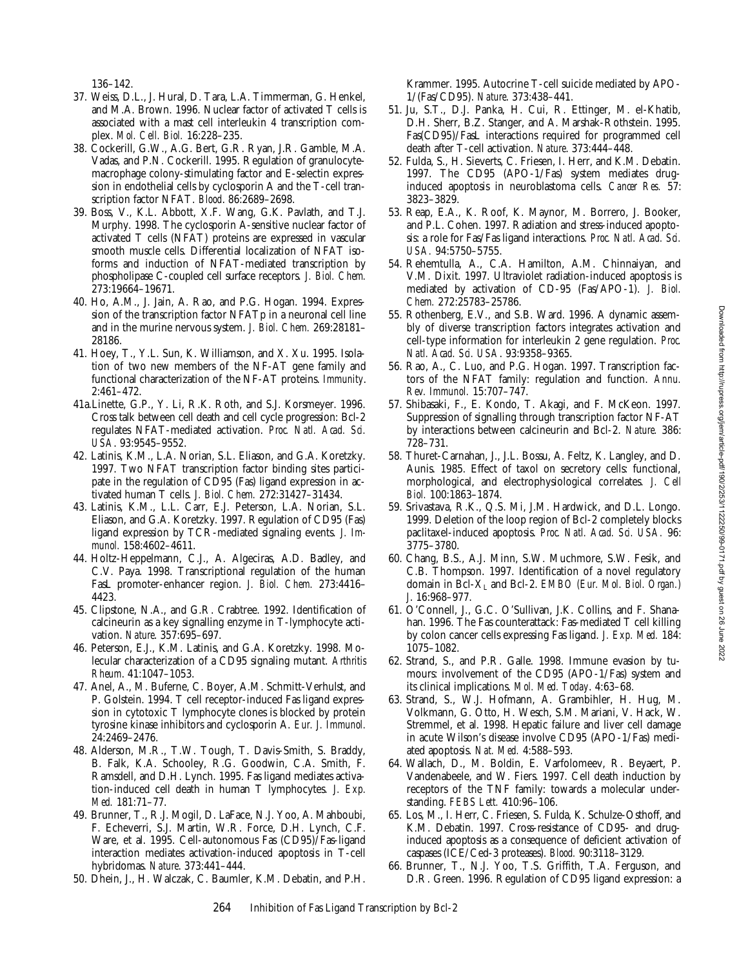136–142.

- 37. Weiss, D.L., J. Hural, D. Tara, L.A. Timmerman, G. Henkel, and M.A. Brown. 1996. Nuclear factor of activated T cells is associated with a mast cell interleukin 4 transcription complex. *Mol. Cell. Biol.* 16:228–235.
- 38. Cockerill, G.W., A.G. Bert, G.R. Ryan, J.R. Gamble, M.A. Vadas, and P.N. Cockerill. 1995. Regulation of granulocytemacrophage colony-stimulating factor and E-selectin expression in endothelial cells by cyclosporin A and the T-cell transcription factor NFAT. *Blood*. 86:2689–2698.
- 39. Boss, V., K.L. Abbott, X.F. Wang, G.K. Pavlath, and T.J. Murphy. 1998. The cyclosporin A-sensitive nuclear factor of activated T cells (NFAT) proteins are expressed in vascular smooth muscle cells. Differential localization of NFAT isoforms and induction of NFAT-mediated transcription by phospholipase C-coupled cell surface receptors. *J. Biol. Chem.* 273:19664–19671.
- 40. Ho, A.M., J. Jain, A. Rao, and P.G. Hogan. 1994. Expression of the transcription factor NFATp in a neuronal cell line and in the murine nervous system. *J. Biol. Chem.* 269:28181– 28186.
- 41. Hoey, T., Y.L. Sun, K. Williamson, and X. Xu. 1995. Isolation of two new members of the NF-AT gene family and functional characterization of the NF-AT proteins. *Immunity*. 2:461–472.
- 41a.Linette, G.P., Y. Li, R.K. Roth, and S.J. Korsmeyer. 1996. Cross talk between cell death and cell cycle progression: Bcl-2 regulates NFAT-mediated activation. *Proc. Natl. Acad. Sci. USA*. 93:9545–9552.
- 42. Latinis, K.M., L.A. Norian, S.L. Eliason, and G.A. Koretzky. 1997. Two NFAT transcription factor binding sites participate in the regulation of CD95 (Fas) ligand expression in activated human T cells. *J. Biol. Chem.* 272:31427–31434.
- 43. Latinis, K.M., L.L. Carr, E.J. Peterson, L.A. Norian, S.L. Eliason, and G.A. Koretzky. 1997. Regulation of CD95 (Fas) ligand expression by TCR-mediated signaling events. *J. Immunol.* 158:4602–4611.
- 44. Holtz-Heppelmann, C.J., A. Algeciras, A.D. Badley, and C.V. Paya. 1998. Transcriptional regulation of the human FasL promoter-enhancer region. *J. Biol. Chem.* 273:4416– 4423.
- 45. Clipstone, N.A., and G.R. Crabtree. 1992. Identification of calcineurin as a key signalling enzyme in T-lymphocyte activation. *Nature*. 357:695–697.
- 46. Peterson, E.J., K.M. Latinis, and G.A. Koretzky. 1998. Molecular characterization of a CD95 signaling mutant. *Arthritis Rheum*. 41:1047–1053.
- 47. Anel, A., M. Buferne, C. Boyer, A.M. Schmitt-Verhulst, and P. Golstein. 1994. T cell receptor-induced Fas ligand expression in cytotoxic T lymphocyte clones is blocked by protein tyrosine kinase inhibitors and cyclosporin A. *Eur. J. Immunol.* 24:2469–2476.
- 48. Alderson, M.R., T.W. Tough, T. Davis-Smith, S. Braddy, B. Falk, K.A. Schooley, R.G. Goodwin, C.A. Smith, F. Ramsdell, and D.H. Lynch. 1995. Fas ligand mediates activation-induced cell death in human T lymphocytes. *J. Exp. Med.* 181:71–77.
- 49. Brunner, T., R.J. Mogil, D. LaFace, N.J. Yoo, A. Mahboubi, F. Echeverri, S.J. Martin, W.R. Force, D.H. Lynch, C.F. Ware, et al. 1995. Cell-autonomous Fas (CD95)/Fas-ligand interaction mediates activation-induced apoptosis in T-cell hybridomas. *Nature*. 373:441–444.
- 50. Dhein, J., H. Walczak, C. Baumler, K.M. Debatin, and P.H.

Krammer. 1995. Autocrine T-cell suicide mediated by APO-1/(Fas/CD95). *Nature*. 373:438–441.

- 51. Ju, S.T., D.J. Panka, H. Cui, R. Ettinger, M. el-Khatib, D.H. Sherr, B.Z. Stanger, and A. Marshak-Rothstein. 1995. Fas(CD95)/FasL interactions required for programmed cell death after T-cell activation. *Nature*. 373:444–448.
- 52. Fulda, S., H. Sieverts, C. Friesen, I. Herr, and K.M. Debatin. 1997. The CD95 (APO-1/Fas) system mediates druginduced apoptosis in neuroblastoma cells. *Cancer Res.* 57: 3823–3829.
- 53. Reap, E.A., K. Roof, K. Maynor, M. Borrero, J. Booker, and P.L. Cohen. 1997. Radiation and stress-induced apoptosis: a role for Fas/Fas ligand interactions. *Proc. Natl. Acad. Sci. USA.* 94:5750–5755.
- 54. Rehemtulla, A., C.A. Hamilton, A.M. Chinnaiyan, and V.M. Dixit. 1997. Ultraviolet radiation-induced apoptosis is mediated by activation of CD-95 (Fas/APO-1). *J. Biol. Chem.* 272:25783–25786.
- 55. Rothenberg, E.V., and S.B. Ward. 1996. A dynamic assembly of diverse transcription factors integrates activation and cell-type information for interleukin 2 gene regulation. *Proc. Natl. Acad. Sci. USA*. 93:9358–9365.
- 56. Rao, A., C. Luo, and P.G. Hogan. 1997. Transcription factors of the NFAT family: regulation and function. *Annu. Rev. Immunol.* 15:707–747.
- 57. Shibasaki, F., E. Kondo, T. Akagi, and F. McKeon. 1997. Suppression of signalling through transcription factor NF-AT by interactions between calcineurin and Bcl-2. *Nature.* 386: 728–731.
- 58. Thuret-Carnahan, J., J.L. Bossu, A. Feltz, K. Langley, and D. Aunis. 1985. Effect of taxol on secretory cells: functional, morphological, and electrophysiological correlates. *J. Cell Biol.* 100:1863–1874.
- 59. Srivastava, R.K., Q.S. Mi, J.M. Hardwick, and D.L. Longo. 1999. Deletion of the loop region of Bcl-2 completely blocks paclitaxel-induced apoptosis. *Proc. Natl. Acad. Sci. USA.* 96: 3775–3780.
- 60. Chang, B.S., A.J. Minn, S.W. Muchmore, S.W. Fesik, and C.B. Thompson. 1997. Identification of a novel regulatory domain in Bcl-XL and Bcl-2. *EMBO (Eur. Mol. Biol. Organ.) J*. 16:968–977.
- 61. O'Connell, J., G.C. O'Sullivan, J.K. Collins, and F. Shanahan. 1996. The Fas counterattack: Fas-mediated T cell killing by colon cancer cells expressing Fas ligand. *J. Exp. Med.* 184: 1075–1082.
- 62. Strand, S., and P.R. Galle. 1998. Immune evasion by tumours: involvement of the CD95 (APO-1/Fas) system and its clinical implications. *Mol. Med. Today*. 4:63–68.
- 63. Strand, S., W.J. Hofmann, A. Grambihler, H. Hug, M. Volkmann, G. Otto, H. Wesch, S.M. Mariani, V. Hack, W. Stremmel, et al. 1998. Hepatic failure and liver cell damage in acute Wilson's disease involve CD95 (APO-1/Fas) mediated apoptosis. *Nat. Med.* 4:588–593.
- 64. Wallach, D., M. Boldin, E. Varfolomeev, R. Beyaert, P. Vandenabeele, and W. Fiers. 1997. Cell death induction by receptors of the TNF family: towards a molecular understanding. *FEBS Lett.* 410:96–106.
- 65. Los, M., I. Herr, C. Friesen, S. Fulda, K. Schulze-Osthoff, and K.M. Debatin. 1997. Cross-resistance of CD95- and druginduced apoptosis as a consequence of deficient activation of caspases (ICE/Ced-3 proteases). *Blood.* 90:3118–3129.
- 66. Brunner, T., N.J. Yoo, T.S. Griffith, T.A. Ferguson, and D.R. Green. 1996. Regulation of CD95 ligand expression: a